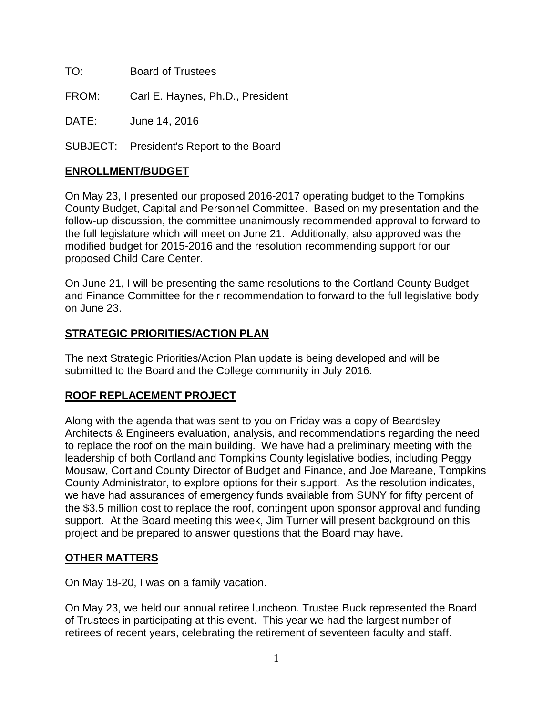TO: Board of Trustees

FROM: Carl E. Haynes, Ph.D., President

DATE: June 14, 2016

SUBJECT: President's Report to the Board

## **ENROLLMENT/BUDGET**

On May 23, I presented our proposed 2016-2017 operating budget to the Tompkins County Budget, Capital and Personnel Committee. Based on my presentation and the follow-up discussion, the committee unanimously recommended approval to forward to the full legislature which will meet on June 21. Additionally, also approved was the modified budget for 2015-2016 and the resolution recommending support for our proposed Child Care Center.

On June 21, I will be presenting the same resolutions to the Cortland County Budget and Finance Committee for their recommendation to forward to the full legislative body on June 23.

## **STRATEGIC PRIORITIES/ACTION PLAN**

The next Strategic Priorities/Action Plan update is being developed and will be submitted to the Board and the College community in July 2016.

## **ROOF REPLACEMENT PROJECT**

Along with the agenda that was sent to you on Friday was a copy of Beardsley Architects & Engineers evaluation, analysis, and recommendations regarding the need to replace the roof on the main building. We have had a preliminary meeting with the leadership of both Cortland and Tompkins County legislative bodies, including Peggy Mousaw, Cortland County Director of Budget and Finance, and Joe Mareane, Tompkins County Administrator, to explore options for their support. As the resolution indicates, we have had assurances of emergency funds available from SUNY for fifty percent of the \$3.5 million cost to replace the roof, contingent upon sponsor approval and funding support. At the Board meeting this week, Jim Turner will present background on this project and be prepared to answer questions that the Board may have.

## **OTHER MATTERS**

On May 18-20, I was on a family vacation.

On May 23, we held our annual retiree luncheon. Trustee Buck represented the Board of Trustees in participating at this event. This year we had the largest number of retirees of recent years, celebrating the retirement of seventeen faculty and staff.